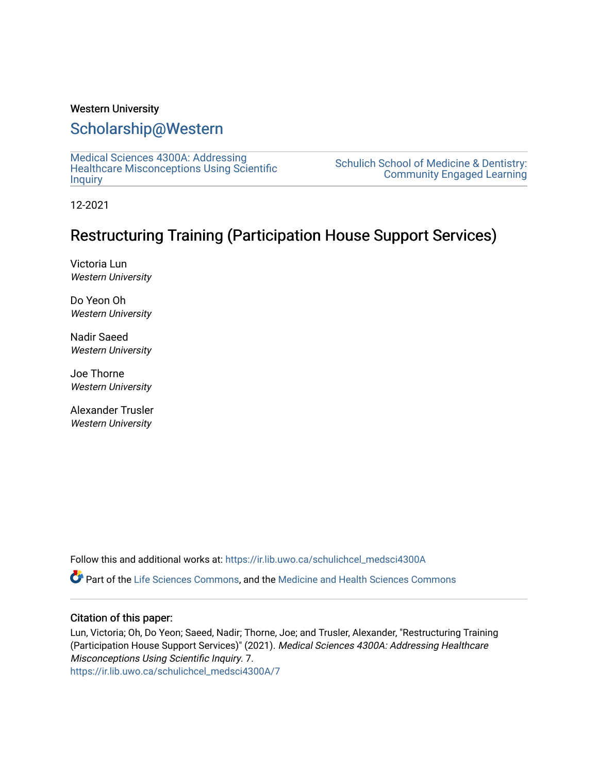### Western University

### [Scholarship@Western](https://ir.lib.uwo.ca/)

[Medical Sciences 4300A: Addressing](https://ir.lib.uwo.ca/schulichcel_medsci4300A)  [Healthcare Misconceptions Using Scientific](https://ir.lib.uwo.ca/schulichcel_medsci4300A) **[Inquiry](https://ir.lib.uwo.ca/schulichcel_medsci4300A)** 

[Schulich School of Medicine & Dentistry:](https://ir.lib.uwo.ca/schulichcel)  [Community Engaged Learning](https://ir.lib.uwo.ca/schulichcel) 

12-2021

### Restructuring Training (Participation House Support Services)

Victoria Lun Western University

Do Yeon Oh Western University

Nadir Saeed Western University

Joe Thorne Western University

Alexander Trusler Western University

Follow this and additional works at: [https://ir.lib.uwo.ca/schulichcel\\_medsci4300A](https://ir.lib.uwo.ca/schulichcel_medsci4300A?utm_source=ir.lib.uwo.ca%2Fschulichcel_medsci4300A%2F7&utm_medium=PDF&utm_campaign=PDFCoverPages)

Part of the [Life Sciences Commons,](http://network.bepress.com/hgg/discipline/1016?utm_source=ir.lib.uwo.ca%2Fschulichcel_medsci4300A%2F7&utm_medium=PDF&utm_campaign=PDFCoverPages) and the [Medicine and Health Sciences Commons](http://network.bepress.com/hgg/discipline/648?utm_source=ir.lib.uwo.ca%2Fschulichcel_medsci4300A%2F7&utm_medium=PDF&utm_campaign=PDFCoverPages)

### Citation of this paper:

Lun, Victoria; Oh, Do Yeon; Saeed, Nadir; Thorne, Joe; and Trusler, Alexander, "Restructuring Training (Participation House Support Services)" (2021). Medical Sciences 4300A: Addressing Healthcare Misconceptions Using Scientific Inquiry. 7. [https://ir.lib.uwo.ca/schulichcel\\_medsci4300A/7](https://ir.lib.uwo.ca/schulichcel_medsci4300A/7?utm_source=ir.lib.uwo.ca%2Fschulichcel_medsci4300A%2F7&utm_medium=PDF&utm_campaign=PDFCoverPages)